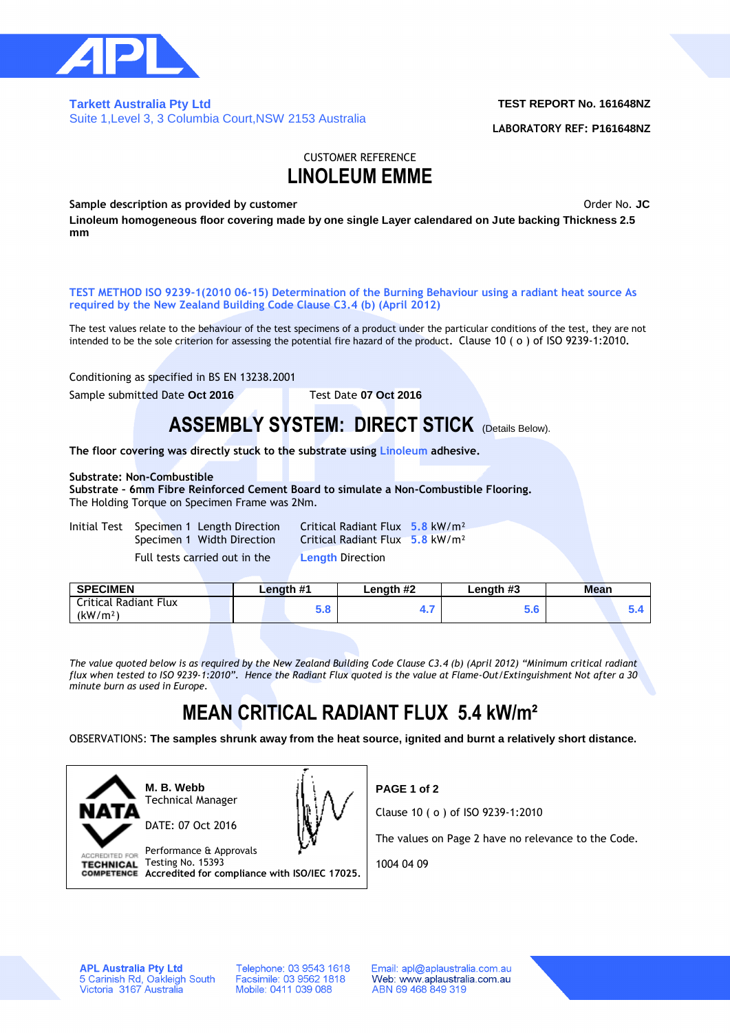

### **Tarkett Australia Pty Ltd**  Suite 1,Level 3, 3 Columbia Court,NSW 2153 Australia

### **TEST REPORT No. 161648NZ**

**LABORATORY REF: P161648NZ**

### CUSTOMER REFERENCE **LINOLEUM EMME**

**Sample description as provided by customer Community Sample description as provided by customer Order No. JC** 

**Linoleum homogeneous floor covering made by one single Layer calendared on Jute backing Thickness 2.5 mm**

**TEST METHOD ISO 9239-1(2010 06-15) Determination of the Burning Behaviour using a radiant heat source As required by the New Zealand Building Code Clause C3.4 (b) (April 2012)**

The test values relate to the behaviour of the test specimens of a product under the particular conditions of the test, they are not intended to be the sole criterion for assessing the potential fire hazard of the product**.** Clause 10 ( o ) of ISO 9239-1:2010**.**

Conditioning as specified in BS EN 13238.2001

Sample submitted Date **Oct 2016** Test Date **07 Oct 2016**

## **ASSEMBLY SYSTEM: DIRECT STICK** (Details Below).

**The floor covering was directly stuck to the substrate using Linoleum adhesive.**

### **Substrate: Non-Combustible**

**Substrate – 6mm Fibre Reinforced Cement Board to simulate a Non-Combustible Flooring.** The Holding Torque on Specimen Frame was 2Nm.

|  | Initial Test Specimen 1 Length Direction |
|--|------------------------------------------|
|  | Specimen 1 Width Direction               |
|  | Euli toota carriad out in the            |

**Critical Radiant Flux 5.8 kW/m<sup>2</sup>** Specimen 1 Width Direction 2 Width Direction 2 and Direction 2 and Direction 2 and Direction 2 and Direction 2 **Length Direction** 

| Full tests carried out in the |  |  |  |
|-------------------------------|--|--|--|
|-------------------------------|--|--|--|

| <b>SPECIMEN</b>                               |  | Lenath #1 | Length #2 | Length #3 | Mean |  |
|-----------------------------------------------|--|-----------|-----------|-----------|------|--|
| Critical Radiant Flux<br>(kW/m <sup>2</sup> ) |  | ວ.ດ       |           | ่อ.บ      |      |  |
|                                               |  |           |           |           |      |  |

*The value quoted below is as required by the New Zealand Building Code Clause C3.4 (b) (April 2012) "Minimum critical radiant flux when tested to ISO 9239-1:2010". Hence the Radiant Flux quoted is the value at Flame-Out/Extinguishment Not after a 30 minute burn as used in Europe.*

# **MEAN CRITICAL RADIANT FLUX 5.4 kW/m²**

OBSERVATIONS: **The samples shrunk away from the heat source, ignited and burnt a relatively short distance.**



**M. B. Webb** Technical Manager



Performance & Approvals ACCREDITED FOR Testing No. 15393 **TECHNICAL Accredited for compliance with ISO/IEC 17025.** **PAGE 1 of 2**

Clause 10 ( o ) of ISO 9239-1:2010

The values on Page 2 have no relevance to the Code.

1004 04 09

**APL Australia Pty Ltd** 5 Carinish Rd, Oakleigh South<br>Victoria 3167 Australia

Telephone: 03 9543 1618 Facsimile: 03 9562 1818<br>Mobile: 0411 039 088

Email: apl@aplaustralia.com.au Web: www.aplaustralia.com.au ABN 69 468 849 319